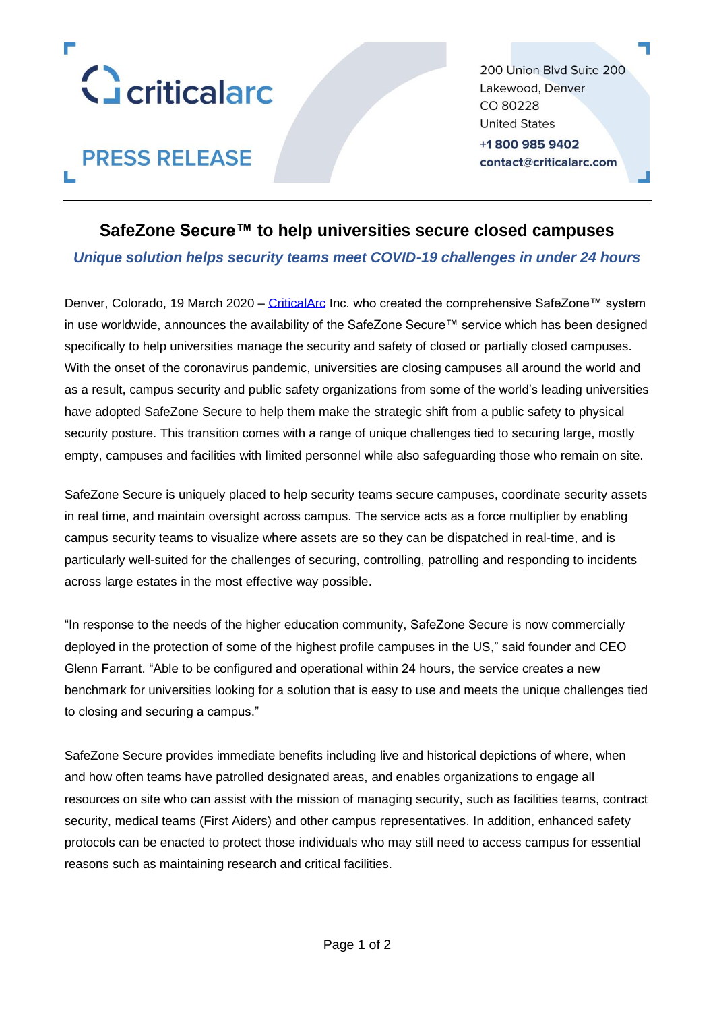

**PRESS RELEASE** 

200 Union Blvd Suite 200 Lakewood, Denver CO 80228 **United States** +18009859402 contact@criticalarc.com

## **SafeZone Secure™ to help universities secure closed campuses**

*Unique solution helps security teams meet COVID-19 challenges in under 24 hours*

Denver, Colorado, 19 March 2020 – [CriticalArc](http://www.criticalarc.com/) Inc. who created the comprehensive SafeZone™ system in use worldwide, announces the availability of the SafeZone Secure™ service which has been designed specifically to help universities manage the security and safety of closed or partially closed campuses. With the onset of the coronavirus pandemic, universities are closing campuses all around the world and as a result, campus security and public safety organizations from some of the world's leading universities have adopted SafeZone Secure to help them make the strategic shift from a public safety to physical security posture. This transition comes with a range of unique challenges tied to securing large, mostly empty, campuses and facilities with limited personnel while also safeguarding those who remain on site.

SafeZone Secure is uniquely placed to help security teams secure campuses, coordinate security assets in real time, and maintain oversight across campus. The service acts as a force multiplier by enabling campus security teams to visualize where assets are so they can be dispatched in real-time, and is particularly well-suited for the challenges of securing, controlling, patrolling and responding to incidents across large estates in the most effective way possible.

"In response to the needs of the higher education community, SafeZone Secure is now commercially deployed in the protection of some of the highest profile campuses in the US," said founder and CEO Glenn Farrant. "Able to be configured and operational within 24 hours, the service creates a new benchmark for universities looking for a solution that is easy to use and meets the unique challenges tied to closing and securing a campus."

SafeZone Secure provides immediate benefits including live and historical depictions of where, when and how often teams have patrolled designated areas, and enables organizations to engage all resources on site who can assist with the mission of managing security, such as facilities teams, contract security, medical teams (First Aiders) and other campus representatives. In addition, enhanced safety protocols can be enacted to protect those individuals who may still need to access campus for essential reasons such as maintaining research and critical facilities.